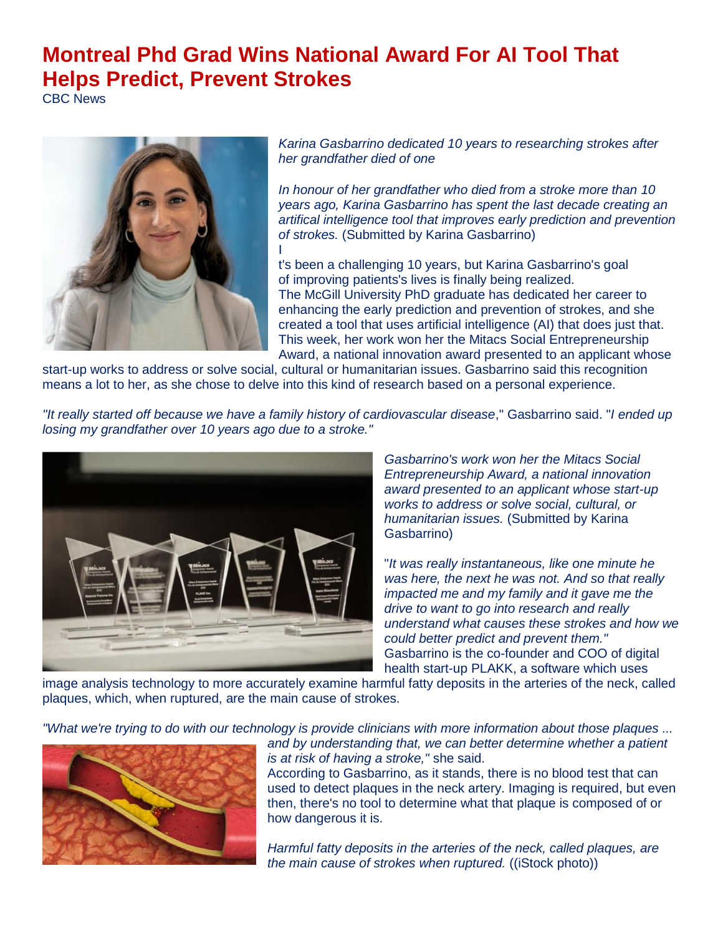## **Montreal Phd Grad Wins National Award For AI Tool That Helps Predict, Prevent Strokes**

CBC News



*Karina Gasbarrino dedicated 10 years to researching strokes after her grandfather died of one*

*In honour of her grandfather who died from a stroke more than 10 years ago, Karina Gasbarrino has spent the last decade creating an artifical intelligence tool that improves early prediction and prevention of strokes.* (Submitted by Karina Gasbarrino) I

t's been a challenging 10 years, but Karina Gasbarrino's goal of improving patients's lives is finally being realized. The McGill University PhD graduate has dedicated her career to enhancing the early prediction and prevention of strokes, and she created a tool that uses artificial intelligence (AI) that does just that. This week, her work won her the Mitacs Social Entrepreneurship Award, a national innovation award presented to an applicant whose

start-up works to address or solve social, cultural or humanitarian issues. Gasbarrino said this recognition means a lot to her, as she chose to delve into this kind of research based on a personal experience.

*"It really started off because we have a family history of cardiovascular disease*," Gasbarrino said. "*I ended up losing my grandfather over 10 years ago due to a stroke."*



*Gasbarrino's work won her the Mitacs Social Entrepreneurship Award, a national innovation award presented to an applicant whose start-up works to address or solve social, cultural, or humanitarian issues.* (Submitted by Karina Gasbarrino)

"*It was really instantaneous, like one minute he was here, the next he was not. And so that really impacted me and my family and it gave me the drive to want to go into research and really understand what causes these strokes and how we could better predict and prevent them."* Gasbarrino is the co-founder and COO of digital health start-up PLAKK, a software which uses

image analysis technology to more accurately examine harmful fatty deposits in the arteries of the neck, called plaques, which, when ruptured, are the main cause of strokes.

*"What we're trying to do with our technology is provide clinicians with more information about those plaques ...* 



*and by understanding that, we can better determine whether a patient is at risk of having a stroke,"* she said.

According to Gasbarrino, as it stands, there is no blood test that can used to detect plaques in the neck artery. Imaging is required, but even then, there's no tool to determine what that plaque is composed of or how dangerous it is.

*Harmful fatty deposits in the arteries of the neck, called plaques, are the main cause of strokes when ruptured.* ((iStock photo))